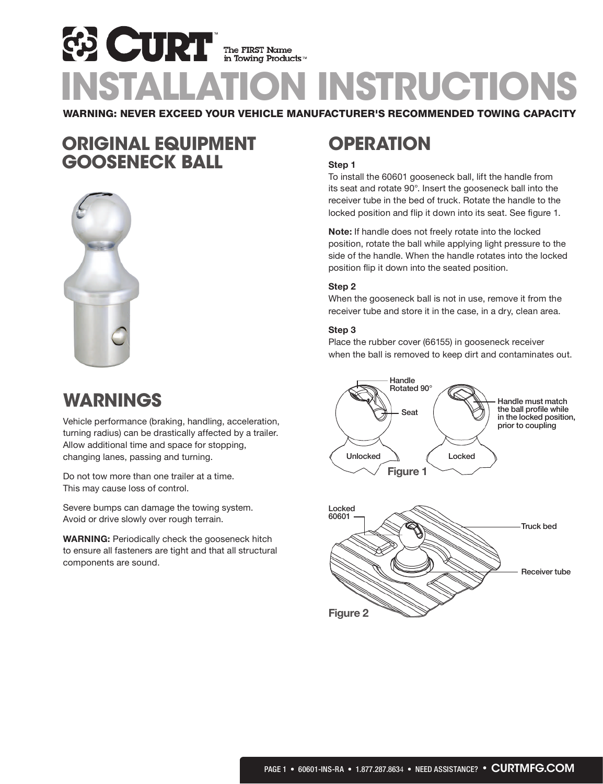# **ED CURT EX CURT The FIRST Name**<br>INSTALLATION INSTRUCTIONS WARNING: NEVER EXCEED YOUR VEHICLE MANUFACTURER'S RECOMMENDED TOWING CAPACITY

## ORIGINAL EQUIPMENT GOOSENECK BALL



# WARNINGS

Vehicle performance (braking, handling, acceleration, turning radius) can be drastically affected by a trailer. Allow additional time and space for stopping, changing lanes, passing and turning.

Do not tow more than one trailer at a time. This may cause loss of control.

Severe bumps can damage the towing system. Avoid or drive slowly over rough terrain.

**WARNING:** Periodically check the gooseneck hitch to ensure all fasteners are tight and that all structural components are sound.

# **OPERATION**

#### **Step 1**

To install the 60601 gooseneck ball, lift the handle from its seat and rotate 90°. Insert the gooseneck ball into the receiver tube in the bed of truck. Rotate the handle to the locked position and flip it down into its seat. See figure 1.

**Note:** If handle does not freely rotate into the locked position, rotate the ball while applying light pressure to the side of the handle. When the handle rotates into the locked position flip it down into the seated position.

#### **Step 2**

When the gooseneck ball is not in use, remove it from the receiver tube and store it in the case, in a dry, clean area.

#### **Step 3**

Place the rubber cover (66155) in gooseneck receiver when the ball is removed to keep dirt and contaminates out.